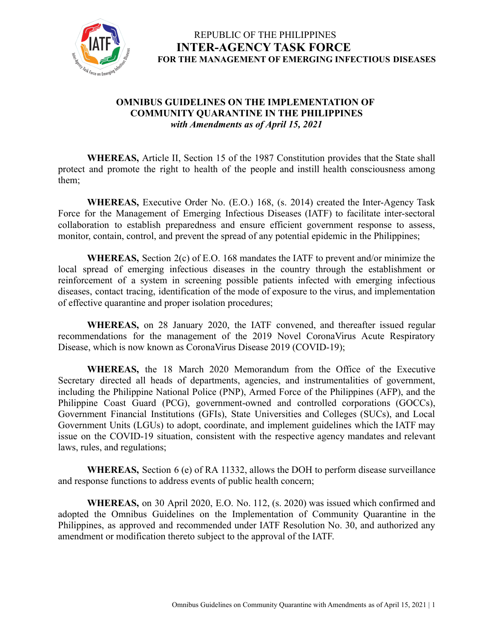

#### **OMNIBUS GUIDELINES ON THE IMPLEMENTATION OF COMMUNITY QUARANTINE IN THE PHILIPPINES** *with Amendments as of April 15, 2021*

**WHEREAS,** Article II, Section 15 of the 1987 Constitution provides that the State shall protect and promote the right to health of the people and instill health consciousness among them;

**WHEREAS,** Executive Order No. (E.O.) 168, (s. 2014) created the Inter-Agency Task Force for the Management of Emerging Infectious Diseases (IATF) to facilitate inter-sectoral collaboration to establish preparedness and ensure efficient government response to assess, monitor, contain, control, and prevent the spread of any potential epidemic in the Philippines;

**WHEREAS,** Section 2(c) of E.O. 168 mandates the IATF to prevent and/or minimize the local spread of emerging infectious diseases in the country through the establishment or reinforcement of a system in screening possible patients infected with emerging infectious diseases, contact tracing, identification of the mode of exposure to the virus, and implementation of effective quarantine and proper isolation procedures;

**WHEREAS,** on 28 January 2020, the IATF convened, and thereafter issued regular recommendations for the management of the 2019 Novel CoronaVirus Acute Respiratory Disease, which is now known as CoronaVirus Disease 2019 (COVID-19);

**WHEREAS,** the 18 March 2020 Memorandum from the Office of the Executive Secretary directed all heads of departments, agencies, and instrumentalities of government, including the Philippine National Police (PNP), Armed Force of the Philippines (AFP), and the Philippine Coast Guard (PCG), government-owned and controlled corporations (GOCCs), Government Financial Institutions (GFIs), State Universities and Colleges (SUCs), and Local Government Units (LGUs) to adopt, coordinate, and implement guidelines which the IATF may issue on the COVID-19 situation, consistent with the respective agency mandates and relevant laws, rules, and regulations;

**WHEREAS,** Section 6 (e) of RA 11332, allows the DOH to perform disease surveillance and response functions to address events of public health concern;

**WHEREAS,** on 30 April 2020, E.O. No. 112, (s. 2020) was issued which confirmed and adopted the Omnibus Guidelines on the Implementation of Community Quarantine in the Philippines, as approved and recommended under IATF Resolution No. 30, and authorized any amendment or modification thereto subject to the approval of the IATF.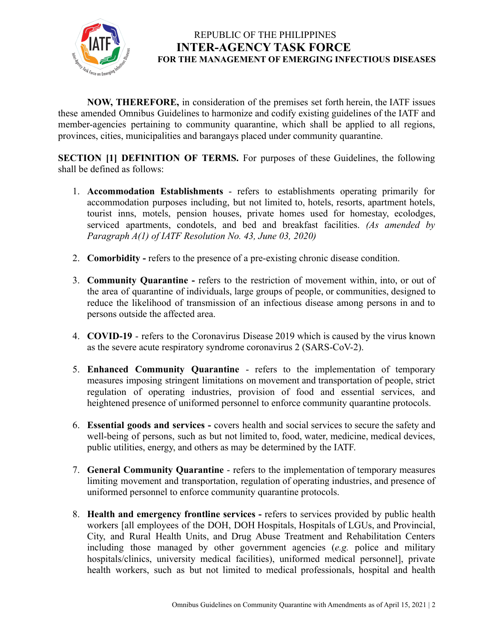

**NOW, THEREFORE,** in consideration of the premises set forth herein, the IATF issues these amended Omnibus Guidelines to harmonize and codify existing guidelines of the IATF and member-agencies pertaining to community quarantine, which shall be applied to all regions, provinces, cities, municipalities and barangays placed under community quarantine.

**SECTION [1] DEFINITION OF TERMS.** For purposes of these Guidelines, the following shall be defined as follows:

- 1. **Accommodation Establishments** refers to establishments operating primarily for accommodation purposes including, but not limited to, hotels, resorts, apartment hotels, tourist inns, motels, pension houses, private homes used for homestay, ecolodges, serviced apartments, condotels, and bed and breakfast facilities. *(As amended by Paragraph A(1) of IATF Resolution No. 43, June 03, 2020)*
- 2. **Comorbidity -** refers to the presence of a pre-existing chronic disease condition.
- 3. **Community Quarantine -** refers to the restriction of movement within, into, or out of the area of quarantine of individuals, large groups of people, or communities, designed to reduce the likelihood of transmission of an infectious disease among persons in and to persons outside the affected area.
- 4. **COVID-19** refers to the Coronavirus Disease 2019 which is caused by the virus known as the severe acute respiratory syndrome coronavirus 2 (SARS-CoV-2).
- 5. **Enhanced Community Quarantine** refers to the implementation of temporary measures imposing stringent limitations on movement and transportation of people, strict regulation of operating industries, provision of food and essential services, and heightened presence of uniformed personnel to enforce community quarantine protocols.
- 6. **Essential goods and services -** covers health and social services to secure the safety and well-being of persons, such as but not limited to, food, water, medicine, medical devices, public utilities, energy, and others as may be determined by the IATF.
- 7. **General Community Quarantine** refers to the implementation of temporary measures limiting movement and transportation, regulation of operating industries, and presence of uniformed personnel to enforce community quarantine protocols.
- 8. **Health and emergency frontline services -** refers to services provided by public health workers [all employees of the DOH, DOH Hospitals, Hospitals of LGUs, and Provincial, City, and Rural Health Units, and Drug Abuse Treatment and Rehabilitation Centers including those managed by other government agencies (*e.g.* police and military hospitals/clinics, university medical facilities), uniformed medical personnel], private health workers, such as but not limited to medical professionals, hospital and health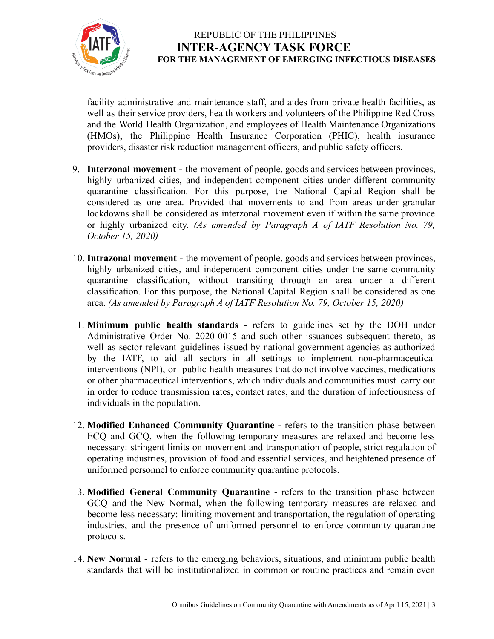

facility administrative and maintenance staff, and aides from private health facilities, as well as their service providers, health workers and volunteers of the Philippine Red Cross and the World Health Organization, and employees of Health Maintenance Organizations (HMOs), the Philippine Health Insurance Corporation (PHIC), health insurance providers, disaster risk reduction management officers, and public safety officers.

- 9. **Interzonal movement -** the movement of people, goods and services between provinces, highly urbanized cities, and independent component cities under different community quarantine classification. For this purpose, the National Capital Region shall be considered as one area. Provided that movements to and from areas under granular lockdowns shall be considered as interzonal movement even if within the same province or highly urbanized city. *(As amended by Paragraph A of IATF Resolution No. 79, October 15, 2020)*
- 10. **Intrazonal movement -** the movement of people, goods and services between provinces, highly urbanized cities, and independent component cities under the same community quarantine classification, without transiting through an area under a different classification. For this purpose, the National Capital Region shall be considered as one area. *(As amended by Paragraph A of IATF Resolution No. 79, October 15, 2020)*
- 11. **Minimum public health standards** refers to guidelines set by the DOH under Administrative Order No. 2020-0015 and such other issuances subsequent thereto, as well as sector-relevant guidelines issued by national government agencies as authorized by the IATF, to aid all sectors in all settings to implement non-pharmaceutical interventions (NPI), or public health measures that do not involve vaccines, medications or other pharmaceutical interventions, which individuals and communities must carry out in order to reduce transmission rates, contact rates, and the duration of infectiousness of individuals in the population.
- 12. **Modified Enhanced Community Quarantine -** refers to the transition phase between ECQ and GCQ, when the following temporary measures are relaxed and become less necessary: stringent limits on movement and transportation of people, strict regulation of operating industries, provision of food and essential services, and heightened presence of uniformed personnel to enforce community quarantine protocols.
- 13. **Modified General Community Quarantine** refers to the transition phase between GCQ and the New Normal, when the following temporary measures are relaxed and become less necessary: limiting movement and transportation, the regulation of operating industries, and the presence of uniformed personnel to enforce community quarantine protocols.
- 14. **New Normal** refers to the emerging behaviors, situations, and minimum public health standards that will be institutionalized in common or routine practices and remain even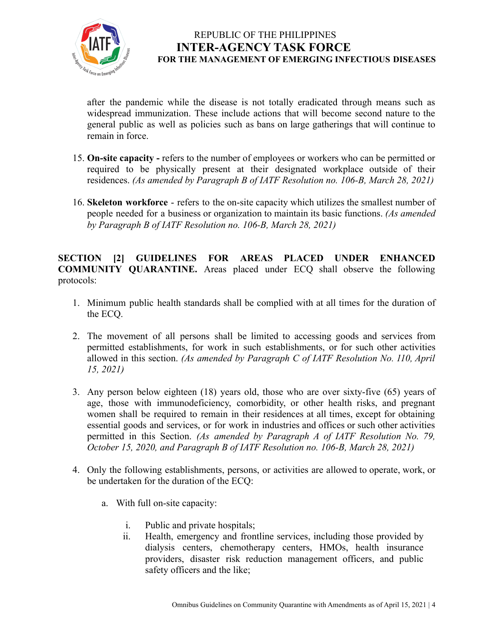

after the pandemic while the disease is not totally eradicated through means such as widespread immunization. These include actions that will become second nature to the general public as well as policies such as bans on large gatherings that will continue to remain in force.

- 15. **On-site capacity -** refers to the number of employees or workers who can be permitted or required to be physically present at their designated workplace outside of their residences. *(As amended by Paragraph B of IATF Resolution no. 106-B, March 28, 2021)*
- 16. **Skeleton workforce** refers to the on-site capacity which utilizes the smallest number of people needed for a business or organization to maintain its basic functions. *(As amended by Paragraph B of IATF Resolution no. 106-B, March 28, 2021)*

**SECTION [2] GUIDELINES FOR AREAS PLACED UNDER ENHANCED COMMUNITY QUARANTINE.** Areas placed under ECQ shall observe the following protocols:

- 1. Minimum public health standards shall be complied with at all times for the duration of the ECQ.
- 2. The movement of all persons shall be limited to accessing goods and services from permitted establishments, for work in such establishments, or for such other activities allowed in this section. *(As amended by Paragraph C of IATF Resolution No. 110, April 15, 2021)*
- 3. Any person below eighteen (18) years old, those who are over sixty-five (65) years of age, those with immunodeficiency, comorbidity, or other health risks, and pregnant women shall be required to remain in their residences at all times, except for obtaining essential goods and services, or for work in industries and offices or such other activities permitted in this Section. *(As amended by Paragraph A of IATF Resolution No. 79, October 15, 2020, and Paragraph B of IATF Resolution no. 106-B, March 28, 2021)*
- 4. Only the following establishments, persons, or activities are allowed to operate, work, or be undertaken for the duration of the ECQ:
	- a. With full on-site capacity:
		- i. Public and private hospitals;
		- ii. Health, emergency and frontline services, including those provided by dialysis centers, chemotherapy centers, HMOs, health insurance providers, disaster risk reduction management officers, and public safety officers and the like;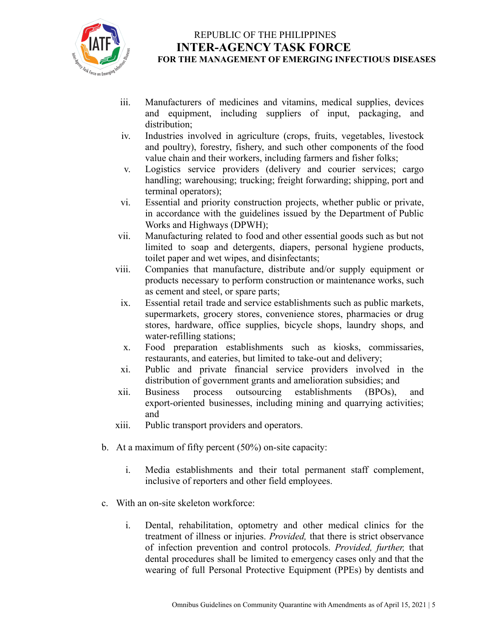

- iii. Manufacturers of medicines and vitamins, medical supplies, devices and equipment, including suppliers of input, packaging, and distribution;
- iv. Industries involved in agriculture (crops, fruits, vegetables, livestock and poultry), forestry, fishery, and such other components of the food value chain and their workers, including farmers and fisher folks;
- v. Logistics service providers (delivery and courier services; cargo handling; warehousing; trucking; freight forwarding; shipping, port and terminal operators);
- vi. Essential and priority construction projects, whether public or private, in accordance with the guidelines issued by the Department of Public Works and Highways (DPWH);
- vii. Manufacturing related to food and other essential goods such as but not limited to soap and detergents, diapers, personal hygiene products, toilet paper and wet wipes, and disinfectants;
- viii. Companies that manufacture, distribute and/or supply equipment or products necessary to perform construction or maintenance works, such as cement and steel, or spare parts;
- ix. Essential retail trade and service establishments such as public markets, supermarkets, grocery stores, convenience stores, pharmacies or drug stores, hardware, office supplies, bicycle shops, laundry shops, and water-refilling stations;
- x. Food preparation establishments such as kiosks, commissaries, restaurants, and eateries, but limited to take-out and delivery;
- xi. Public and private financial service providers involved in the distribution of government grants and amelioration subsidies; and<br>Business process outsourcing establishments (BPOs),
- xii. Business process outsourcing establishments (BPOs), and export-oriented businesses, including mining and quarrying activities; and
- xiii. Public transport providers and operators.
- b. At a maximum of fifty percent (50%) on-site capacity:
	- i. Media establishments and their total permanent staff complement, inclusive of reporters and other field employees.
- c. With an on-site skeleton workforce:
	- i. Dental, rehabilitation, optometry and other medical clinics for the treatment of illness or injuries. *Provided,* that there is strict observance of infection prevention and control protocols. *Provided, further,* that dental procedures shall be limited to emergency cases only and that the wearing of full Personal Protective Equipment (PPEs) by dentists and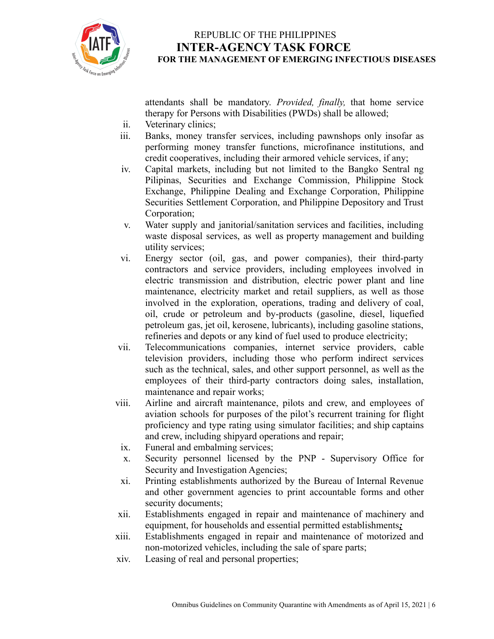

attendants shall be mandatory. *Provided, finally,* that home service therapy for Persons with Disabilities (PWDs) shall be allowed;

- ii. Veterinary clinics;
- iii. Banks, money transfer services, including pawnshops only insofar as performing money transfer functions, microfinance institutions, and credit cooperatives, including their armored vehicle services, if any;
- iv. Capital markets, including but not limited to the Bangko Sentral ng Pilipinas, Securities and Exchange Commission, Philippine Stock Exchange, Philippine Dealing and Exchange Corporation, Philippine Securities Settlement Corporation, and Philippine Depository and Trust Corporation;
- v. Water supply and janitorial/sanitation services and facilities, including waste disposal services, as well as property management and building utility services;
- vi. Energy sector (oil, gas, and power companies), their third-party contractors and service providers, including employees involved in electric transmission and distribution, electric power plant and line maintenance, electricity market and retail suppliers, as well as those involved in the exploration, operations, trading and delivery of coal, oil, crude or petroleum and by-products (gasoline, diesel, liquefied petroleum gas, jet oil, kerosene, lubricants), including gasoline stations, refineries and depots or any kind of fuel used to produce electricity;
- vii. Telecommunications companies, internet service providers, cable television providers, including those who perform indirect services such as the technical, sales, and other support personnel, as well as the employees of their third-party contractors doing sales, installation, maintenance and repair works;
- viii. Airline and aircraft maintenance, pilots and crew, and employees of aviation schools for purposes of the pilot's recurrent training for flight proficiency and type rating using simulator facilities; and ship captains and crew, including shipyard operations and repair;
- ix. Funeral and embalming services;
- x. Security personnel licensed by the PNP Supervisory Office for Security and Investigation Agencies;
- xi. Printing establishments authorized by the Bureau of Internal Revenue and other government agencies to print accountable forms and other security documents;
- xii. Establishments engaged in repair and maintenance of machinery and equipment, for households and essential permitted establishments*;*
- xiii. Establishments engaged in repair and maintenance of motorized and non-motorized vehicles, including the sale of spare parts;
- xiv. Leasing of real and personal properties;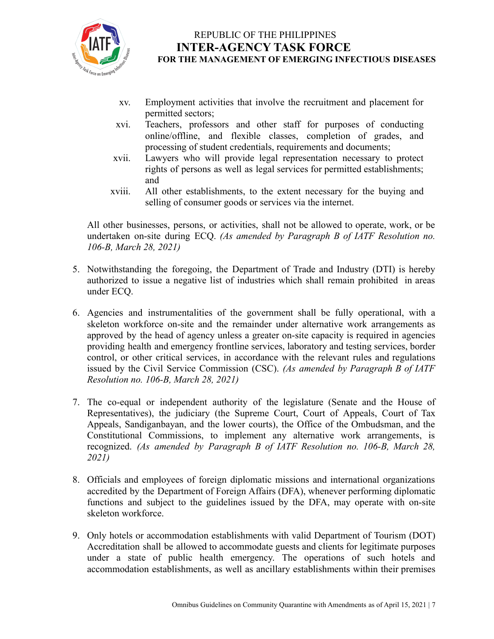

- xv. Employment activities that involve the recruitment and placement for permitted sectors;
- xvi. Teachers, professors and other staff for purposes of conducting online/offline, and flexible classes, completion of grades, and processing of student credentials, requirements and documents;
- xvii. Lawyers who will provide legal representation necessary to protect rights of persons as well as legal services for permitted establishments; and
- xviii. All other establishments, to the extent necessary for the buying and selling of consumer goods or services via the internet.

All other businesses, persons, or activities, shall not be allowed to operate, work, or be undertaken on-site during ECQ. *(As amended by Paragraph B of IATF Resolution no. 106-B, March 28, 2021)*

- 5. Notwithstanding the foregoing, the Department of Trade and Industry (DTI) is hereby authorized to issue a negative list of industries which shall remain prohibited in areas under ECQ.
- 6. Agencies and instrumentalities of the government shall be fully operational, with a skeleton workforce on-site and the remainder under alternative work arrangements as approved by the head of agency unless a greater on-site capacity is required in agencies providing health and emergency frontline services, laboratory and testing services, border control, or other critical services, in accordance with the relevant rules and regulations issued by the Civil Service Commission (CSC). *(As amended by Paragraph B of IATF Resolution no. 106-B, March 28, 2021)*
- 7. The co-equal or independent authority of the legislature (Senate and the House of Representatives), the judiciary (the Supreme Court, Court of Appeals, Court of Tax Appeals, Sandiganbayan, and the lower courts), the Office of the Ombudsman, and the Constitutional Commissions, to implement any alternative work arrangements, is recognized. *(As amended by Paragraph B of IATF Resolution no. 106-B, March 28, 2021)*
- 8. Officials and employees of foreign diplomatic missions and international organizations accredited by the Department of Foreign Affairs (DFA), whenever performing diplomatic functions and subject to the guidelines issued by the DFA, may operate with on-site skeleton workforce.
- 9. Only hotels or accommodation establishments with valid Department of Tourism (DOT) Accreditation shall be allowed to accommodate guests and clients for legitimate purposes under a state of public health emergency. The operations of such hotels and accommodation establishments, as well as ancillary establishments within their premises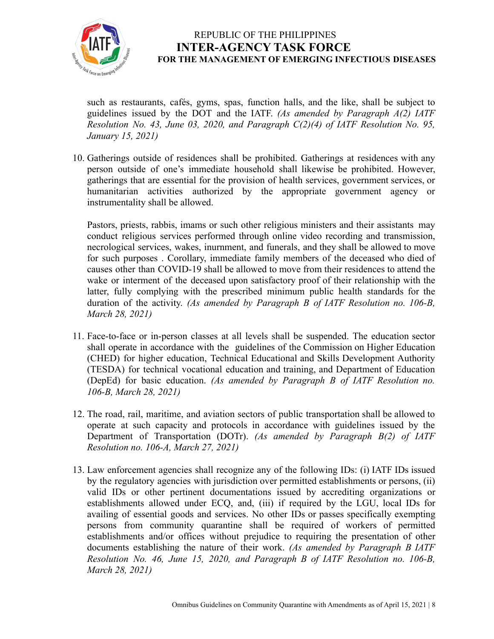

such as restaurants, cafés, gyms, spas, function halls, and the like, shall be subject to guidelines issued by the DOT and the IATF. *(As amended by Paragraph A(2) IATF Resolution No. 43, June 03, 2020, and Paragraph C(2)(4) of IATF Resolution No. 95, January 15, 2021)*

10. Gatherings outside of residences shall be prohibited. Gatherings at residences with any person outside of one's immediate household shall likewise be prohibited. However, gatherings that are essential for the provision of health services, government services, or humanitarian activities authorized by the appropriate government agency or instrumentality shall be allowed.

Pastors, priests, rabbis, imams or such other religious ministers and their assistants may conduct religious services performed through online video recording and transmission, necrological services, wakes, inurnment, and funerals, and they shall be allowed to move for such purposes . Corollary, immediate family members of the deceased who died of causes other than COVID-19 shall be allowed to move from their residences to attend the wake or interment of the deceased upon satisfactory proof of their relationship with the latter, fully complying with the prescribed minimum public health standards for the duration of the activity. *(As amended by Paragraph B of IATF Resolution no. 106-B, March 28, 2021)*

- 11. Face-to-face or in-person classes at all levels shall be suspended. The education sector shall operate in accordance with the guidelines of the Commission on Higher Education (CHED) for higher education, Technical Educational and Skills Development Authority (TESDA) for technical vocational education and training, and Department of Education (DepEd) for basic education. *(As amended by Paragraph B of IATF Resolution no. 106-B, March 28, 2021)*
- 12. The road, rail, maritime, and aviation sectors of public transportation shall be allowed to operate at such capacity and protocols in accordance with guidelines issued by the Department of Transportation (DOTr). *(As amended by Paragraph B(2) of IATF Resolution no. 106-A, March 27, 2021)*
- 13. Law enforcement agencies shall recognize any of the following IDs: (i) IATF IDs issued by the regulatory agencies with jurisdiction over permitted establishments or persons, (ii) valid IDs or other pertinent documentations issued by accrediting organizations or establishments allowed under ECQ, and, (iii) if required by the LGU, local IDs for availing of essential goods and services. No other IDs or passes specifically exempting persons from community quarantine shall be required of workers of permitted establishments and/or offices without prejudice to requiring the presentation of other documents establishing the nature of their work. *(As amended by Paragraph B IATF Resolution No. 46, June 15, 2020, and Paragraph B of IATF Resolution no. 106-B, March 28, 2021)*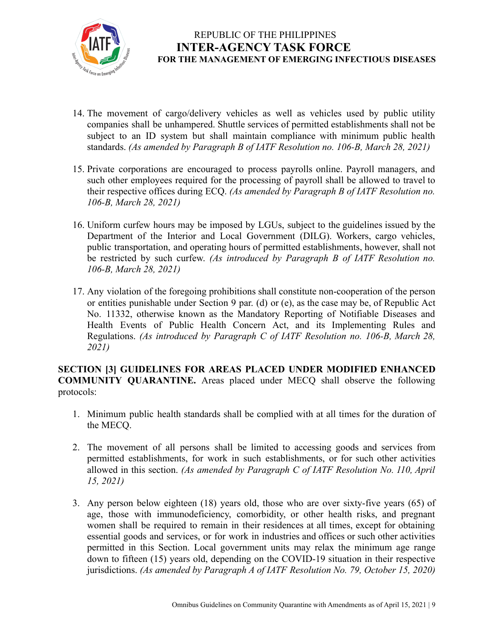

- 14. The movement of cargo/delivery vehicles as well as vehicles used by public utility companies shall be unhampered. Shuttle services of permitted establishments shall not be subject to an ID system but shall maintain compliance with minimum public health standards. *(As amended by Paragraph B of IATF Resolution no. 106-B, March 28, 2021)*
- 15. Private corporations are encouraged to process payrolls online. Payroll managers, and such other employees required for the processing of payroll shall be allowed to travel to their respective offices during ECQ. *(As amended by Paragraph B of IATF Resolution no. 106-B, March 28, 2021)*
- 16. Uniform curfew hours may be imposed by LGUs, subject to the guidelines issued by the Department of the Interior and Local Government (DILG). Workers, cargo vehicles, public transportation, and operating hours of permitted establishments, however, shall not be restricted by such curfew. *(As introduced by Paragraph B of IATF Resolution no. 106-B, March 28, 2021)*
- 17. Any violation of the foregoing prohibitions shall constitute non-cooperation of the person or entities punishable under Section 9 par. (d) or (e), as the case may be, of Republic Act No. 11332, otherwise known as the Mandatory Reporting of Notifiable Diseases and Health Events of Public Health Concern Act, and its Implementing Rules and Regulations. *(As introduced by Paragraph C of IATF Resolution no. 106-B, March 28, 2021)*

#### **SECTION [3] GUIDELINES FOR AREAS PLACED UNDER MODIFIED ENHANCED COMMUNITY QUARANTINE.** Areas placed under MECQ shall observe the following protocols:

- 1. Minimum public health standards shall be complied with at all times for the duration of the MECQ.
- 2. The movement of all persons shall be limited to accessing goods and services from permitted establishments, for work in such establishments, or for such other activities allowed in this section. *(As amended by Paragraph C of IATF Resolution No. 110, April 15, 2021)*
- 3. Any person below eighteen (18) years old, those who are over sixty-five years (65) of age, those with immunodeficiency, comorbidity, or other health risks, and pregnant women shall be required to remain in their residences at all times, except for obtaining essential goods and services, or for work in industries and offices or such other activities permitted in this Section. Local government units may relax the minimum age range down to fifteen (15) years old, depending on the COVID-19 situation in their respective jurisdictions. *(As amended by Paragraph A of IATF Resolution No. 79, October 15, 2020)*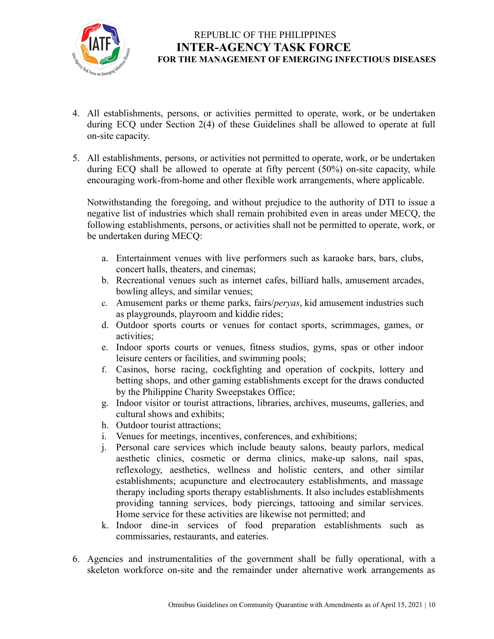

- 4. All establishments, persons, or activities permitted to operate, work, or be undertaken during ECQ under Section 2(4) of these Guidelines shall be allowed to operate at full on-site capacity.
- 5. All establishments, persons, or activities not permitted to operate, work, or be undertaken during ECQ shall be allowed to operate at fifty percent (50%) on-site capacity, while encouraging work-from-home and other flexible work arrangements, where applicable.

Notwithstanding the foregoing, and without prejudice to the authority of DTI to issue a negative list of industries which shall remain prohibited even in areas under MECQ, the following establishments, persons, or activities shall not be permitted to operate, work, or be undertaken during MECQ:

- a. Entertainment venues with live performers such as karaoke bars, bars, clubs, concert halls, theaters, and cinemas;
- b. Recreational venues such as internet cafes, billiard halls, amusement arcades, bowling alleys, and similar venues;
- c. Amusement parks or theme parks, fairs/*peryas*, kid amusement industries such as playgrounds, playroom and kiddie rides;
- d. Outdoor sports courts or venues for contact sports, scrimmages, games, or activities;
- e. Indoor sports courts or venues, fitness studios, gyms, spas or other indoor leisure centers or facilities, and swimming pools;
- f. Casinos, horse racing, cockfighting and operation of cockpits, lottery and betting shops, and other gaming establishments except for the draws conducted by the Philippine Charity Sweepstakes Office;
- g. Indoor visitor or tourist attractions, libraries, archives, museums, galleries, and cultural shows and exhibits;
- h. Outdoor tourist attractions;
- i. Venues for meetings, incentives, conferences, and exhibitions;
- j. Personal care services which include beauty salons, beauty parlors, medical aesthetic clinics, cosmetic or derma clinics, make-up salons, nail spas, reflexology, aesthetics, wellness and holistic centers, and other similar establishments; acupuncture and electrocautery establishments, and massage therapy including sports therapy establishments. It also includes establishments providing tanning services, body piercings, tattooing and similar services. Home service for these activities are likewise not permitted; and
- k. Indoor dine-in services of food preparation establishments such as commissaries, restaurants, and eateries.
- 6. Agencies and instrumentalities of the government shall be fully operational, with a skeleton workforce on-site and the remainder under alternative work arrangements as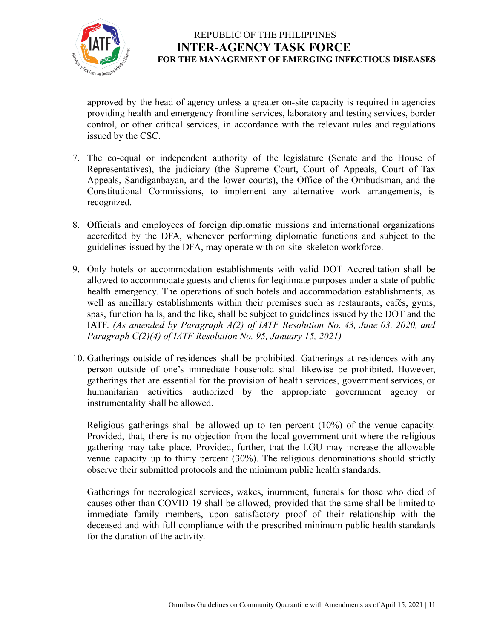

approved by the head of agency unless a greater on-site capacity is required in agencies providing health and emergency frontline services, laboratory and testing services, border control, or other critical services, in accordance with the relevant rules and regulations issued by the CSC.

- 7. The co-equal or independent authority of the legislature (Senate and the House of Representatives), the judiciary (the Supreme Court, Court of Appeals, Court of Tax Appeals, Sandiganbayan, and the lower courts), the Office of the Ombudsman, and the Constitutional Commissions, to implement any alternative work arrangements, is recognized.
- 8. Officials and employees of foreign diplomatic missions and international organizations accredited by the DFA, whenever performing diplomatic functions and subject to the guidelines issued by the DFA, may operate with on-site skeleton workforce.
- 9. Only hotels or accommodation establishments with valid DOT Accreditation shall be allowed to accommodate guests and clients for legitimate purposes under a state of public health emergency. The operations of such hotels and accommodation establishments, as well as ancillary establishments within their premises such as restaurants, cafés, gyms, spas, function halls, and the like, shall be subject to guidelines issued by the DOT and the IATF. *(As amended by Paragraph A(2) of IATF Resolution No. 43, June 03, 2020, and Paragraph C(2)(4) of IATF Resolution No. 95, January 15, 2021)*
- 10. Gatherings outside of residences shall be prohibited. Gatherings at residences with any person outside of one's immediate household shall likewise be prohibited. However, gatherings that are essential for the provision of health services, government services, or humanitarian activities authorized by the appropriate government agency or instrumentality shall be allowed.

Religious gatherings shall be allowed up to ten percent (10%) of the venue capacity. Provided, that, there is no objection from the local government unit where the religious gathering may take place. Provided, further, that the LGU may increase the allowable venue capacity up to thirty percent (30%). The religious denominations should strictly observe their submitted protocols and the minimum public health standards.

Gatherings for necrological services, wakes, inurnment, funerals for those who died of causes other than COVID-19 shall be allowed, provided that the same shall be limited to immediate family members, upon satisfactory proof of their relationship with the deceased and with full compliance with the prescribed minimum public health standards for the duration of the activity.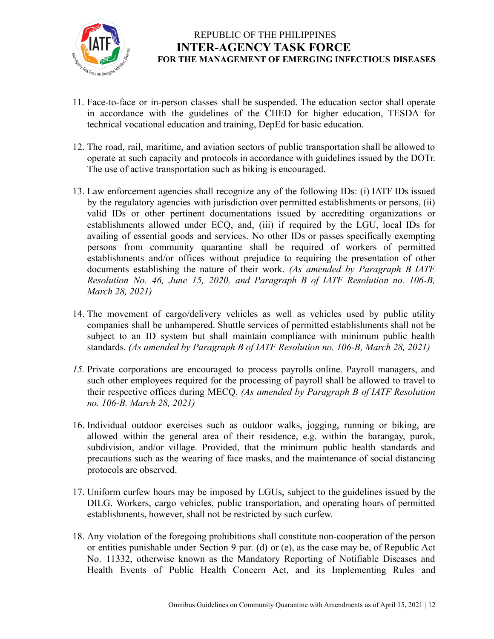

- 11. Face-to-face or in-person classes shall be suspended. The education sector shall operate in accordance with the guidelines of the CHED for higher education, TESDA for technical vocational education and training, DepEd for basic education.
- 12. The road, rail, maritime, and aviation sectors of public transportation shall be allowed to operate at such capacity and protocols in accordance with guidelines issued by the DOTr. The use of active transportation such as biking is encouraged.
- 13. Law enforcement agencies shall recognize any of the following IDs: (i) IATF IDs issued by the regulatory agencies with jurisdiction over permitted establishments or persons, (ii) valid IDs or other pertinent documentations issued by accrediting organizations or establishments allowed under ECQ, and, (iii) if required by the LGU, local IDs for availing of essential goods and services. No other IDs or passes specifically exempting persons from community quarantine shall be required of workers of permitted establishments and/or offices without prejudice to requiring the presentation of other documents establishing the nature of their work. *(As amended by Paragraph B IATF Resolution No. 46, June 15, 2020, and Paragraph B of IATF Resolution no. 106-B, March 28, 2021)*
- 14. The movement of cargo/delivery vehicles as well as vehicles used by public utility companies shall be unhampered. Shuttle services of permitted establishments shall not be subject to an ID system but shall maintain compliance with minimum public health standards. *(As amended by Paragraph B of IATF Resolution no. 106-B, March 28, 2021)*
- *15.* Private corporations are encouraged to process payrolls online. Payroll managers, and such other employees required for the processing of payroll shall be allowed to travel to their respective offices during MECQ. *(As amended by Paragraph B of IATF Resolution no. 106-B, March 28, 2021)*
- 16. Individual outdoor exercises such as outdoor walks, jogging, running or biking, are allowed within the general area of their residence, e.g. within the barangay, purok, subdivision, and/or village. Provided, that the minimum public health standards and precautions such as the wearing of face masks, and the maintenance of social distancing protocols are observed.
- 17. Uniform curfew hours may be imposed by LGUs, subject to the guidelines issued by the DILG. Workers, cargo vehicles, public transportation, and operating hours of permitted establishments, however, shall not be restricted by such curfew.
- 18. Any violation of the foregoing prohibitions shall constitute non-cooperation of the person or entities punishable under Section 9 par. (d) or (e), as the case may be, of Republic Act No. 11332, otherwise known as the Mandatory Reporting of Notifiable Diseases and Health Events of Public Health Concern Act, and its Implementing Rules and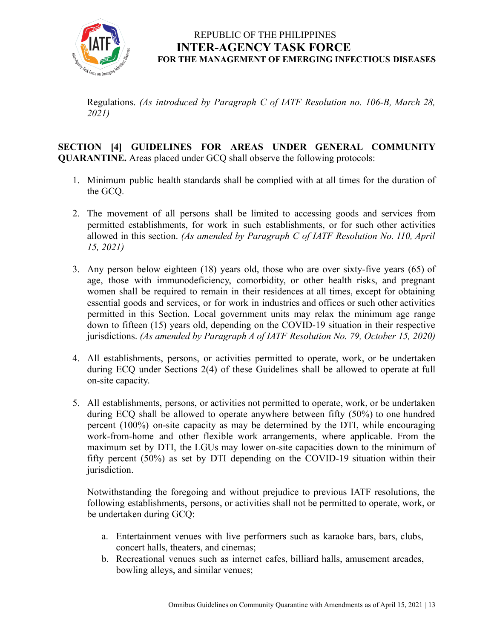

Regulations. *(As introduced by Paragraph C of IATF Resolution no. 106-B, March 28, 2021)*

#### **SECTION [4] GUIDELINES FOR AREAS UNDER GENERAL COMMUNITY QUARANTINE.** Areas placed under GCQ shall observe the following protocols:

- 1. Minimum public health standards shall be complied with at all times for the duration of the GCQ.
- 2. The movement of all persons shall be limited to accessing goods and services from permitted establishments, for work in such establishments, or for such other activities allowed in this section. *(As amended by Paragraph C of IATF Resolution No. 110, April 15, 2021)*
- 3. Any person below eighteen (18) years old, those who are over sixty-five years (65) of age, those with immunodeficiency, comorbidity, or other health risks, and pregnant women shall be required to remain in their residences at all times, except for obtaining essential goods and services, or for work in industries and offices or such other activities permitted in this Section. Local government units may relax the minimum age range down to fifteen (15) years old, depending on the COVID-19 situation in their respective jurisdictions. *(As amended by Paragraph A of IATF Resolution No. 79, October 15, 2020)*
- 4. All establishments, persons, or activities permitted to operate, work, or be undertaken during ECQ under Sections 2(4) of these Guidelines shall be allowed to operate at full on-site capacity.
- 5. All establishments, persons, or activities not permitted to operate, work, or be undertaken during ECQ shall be allowed to operate anywhere between fifty (50%) to one hundred percent (100%) on-site capacity as may be determined by the DTI, while encouraging work-from-home and other flexible work arrangements, where applicable. From the maximum set by DTI, the LGUs may lower on-site capacities down to the minimum of fifty percent (50%) as set by DTI depending on the COVID-19 situation within their jurisdiction.

Notwithstanding the foregoing and without prejudice to previous IATF resolutions, the following establishments, persons, or activities shall not be permitted to operate, work, or be undertaken during GCQ:

- a. Entertainment venues with live performers such as karaoke bars, bars, clubs, concert halls, theaters, and cinemas;
- b. Recreational venues such as internet cafes, billiard halls, amusement arcades, bowling alleys, and similar venues;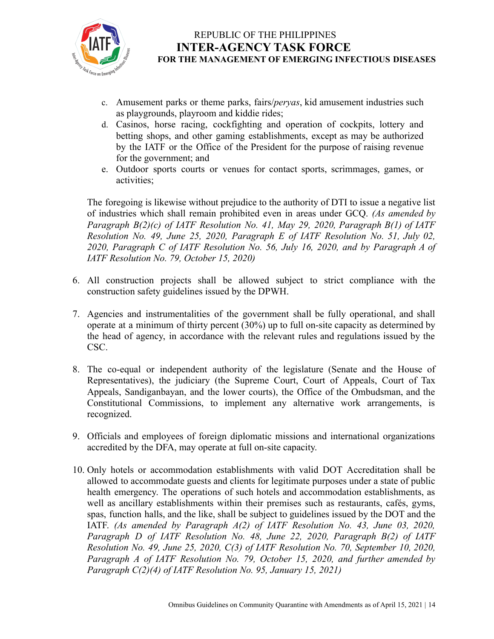

- c. Amusement parks or theme parks, fairs/*peryas*, kid amusement industries such as playgrounds, playroom and kiddie rides;
- d. Casinos, horse racing, cockfighting and operation of cockpits, lottery and betting shops, and other gaming establishments, except as may be authorized by the IATF or the Office of the President for the purpose of raising revenue for the government; and
- e. Outdoor sports courts or venues for contact sports, scrimmages, games, or activities;

The foregoing is likewise without prejudice to the authority of DTI to issue a negative list of industries which shall remain prohibited even in areas under GCQ. *(As amended by Paragraph B(2)(c) of IATF Resolution No. 41, May 29, 2020, Paragraph B(1) of IATF Resolution No. 49, June 25, 2020, Paragraph E of IATF Resolution No. 51, July 02, 2020, Paragraph C of IATF Resolution No. 56, July 16, 2020, and by Paragraph A of IATF Resolution No. 79, October 15, 2020)*

- 6. All construction projects shall be allowed subject to strict compliance with the construction safety guidelines issued by the DPWH.
- 7. Agencies and instrumentalities of the government shall be fully operational, and shall operate at a minimum of thirty percent (30%) up to full on-site capacity as determined by the head of agency, in accordance with the relevant rules and regulations issued by the CSC.
- 8. The co-equal or independent authority of the legislature (Senate and the House of Representatives), the judiciary (the Supreme Court, Court of Appeals, Court of Tax Appeals, Sandiganbayan, and the lower courts), the Office of the Ombudsman, and the Constitutional Commissions, to implement any alternative work arrangements, is recognized.
- 9. Officials and employees of foreign diplomatic missions and international organizations accredited by the DFA, may operate at full on-site capacity.
- 10. Only hotels or accommodation establishments with valid DOT Accreditation shall be allowed to accommodate guests and clients for legitimate purposes under a state of public health emergency. The operations of such hotels and accommodation establishments, as well as ancillary establishments within their premises such as restaurants, cafés, gyms, spas, function halls, and the like, shall be subject to guidelines issued by the DOT and the IATF. *(As amended by Paragraph A(2) of IATF Resolution No. 43, June 03, 2020, Paragraph D of IATF Resolution No. 48, June 22, 2020, Paragraph B(2) of IATF Resolution No. 49, June 25, 2020, C(3) of IATF Resolution No. 70, September 10, 2020, Paragraph A of IATF Resolution No. 79, October 15, 2020, and further amended by Paragraph C(2)(4) of IATF Resolution No. 95, January 15, 2021)*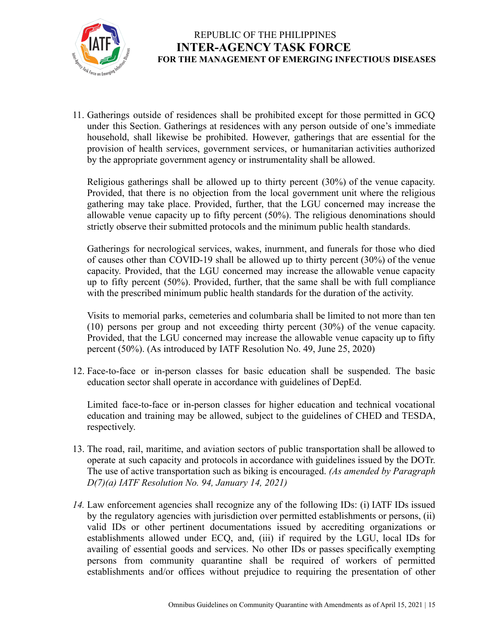

11. Gatherings outside of residences shall be prohibited except for those permitted in GCQ under this Section. Gatherings at residences with any person outside of one's immediate household, shall likewise be prohibited. However, gatherings that are essential for the provision of health services, government services, or humanitarian activities authorized by the appropriate government agency or instrumentality shall be allowed.

Religious gatherings shall be allowed up to thirty percent (30%) of the venue capacity. Provided, that there is no objection from the local government unit where the religious gathering may take place. Provided, further, that the LGU concerned may increase the allowable venue capacity up to fifty percent (50%). The religious denominations should strictly observe their submitted protocols and the minimum public health standards.

Gatherings for necrological services, wakes, inurnment, and funerals for those who died of causes other than COVID-19 shall be allowed up to thirty percent (30%) of the venue capacity. Provided, that the LGU concerned may increase the allowable venue capacity up to fifty percent (50%). Provided, further, that the same shall be with full compliance with the prescribed minimum public health standards for the duration of the activity.

Visits to memorial parks, cemeteries and columbaria shall be limited to not more than ten (10) persons per group and not exceeding thirty percent (30%) of the venue capacity. Provided, that the LGU concerned may increase the allowable venue capacity up to fifty percent (50%). (As introduced by IATF Resolution No. 49, June 25, 2020)

12. Face-to-face or in-person classes for basic education shall be suspended. The basic education sector shall operate in accordance with guidelines of DepEd.

Limited face-to-face or in-person classes for higher education and technical vocational education and training may be allowed, subject to the guidelines of CHED and TESDA, respectively.

- 13. The road, rail, maritime, and aviation sectors of public transportation shall be allowed to operate at such capacity and protocols in accordance with guidelines issued by the DOTr. The use of active transportation such as biking is encouraged. *(As amended by Paragraph D(7)(a) IATF Resolution No. 94, January 14, 2021)*
- *14.* Law enforcement agencies shall recognize any of the following IDs: (i) IATF IDs issued by the regulatory agencies with jurisdiction over permitted establishments or persons, (ii) valid IDs or other pertinent documentations issued by accrediting organizations or establishments allowed under ECQ, and, (iii) if required by the LGU, local IDs for availing of essential goods and services. No other IDs or passes specifically exempting persons from community quarantine shall be required of workers of permitted establishments and/or offices without prejudice to requiring the presentation of other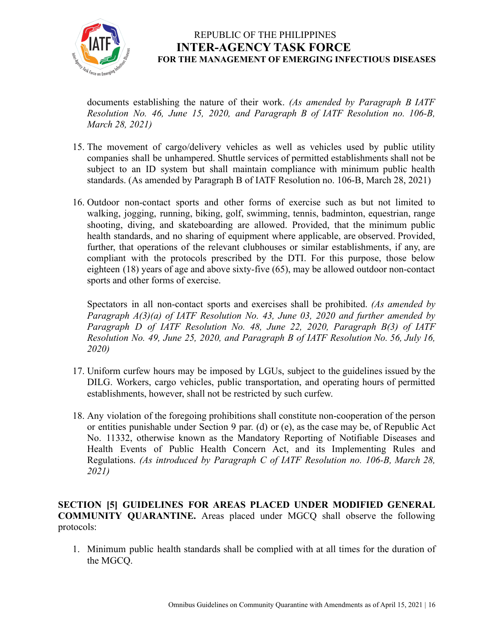

documents establishing the nature of their work. *(As amended by Paragraph B IATF Resolution No. 46, June 15, 2020, and Paragraph B of IATF Resolution no. 106-B, March 28, 2021)*

- 15. The movement of cargo/delivery vehicles as well as vehicles used by public utility companies shall be unhampered. Shuttle services of permitted establishments shall not be subject to an ID system but shall maintain compliance with minimum public health standards. (As amended by Paragraph B of IATF Resolution no. 106-B, March 28, 2021)
- 16. Outdoor non-contact sports and other forms of exercise such as but not limited to walking, jogging, running, biking, golf, swimming, tennis, badminton, equestrian, range shooting, diving, and skateboarding are allowed. Provided, that the minimum public health standards, and no sharing of equipment where applicable, are observed. Provided, further, that operations of the relevant clubhouses or similar establishments, if any, are compliant with the protocols prescribed by the DTI. For this purpose, those below eighteen (18) years of age and above sixty-five (65), may be allowed outdoor non-contact sports and other forms of exercise.

Spectators in all non-contact sports and exercises shall be prohibited. *(As amended by Paragraph A(3)(a) of IATF Resolution No. 43, June 03, 2020 and further amended by Paragraph D of IATF Resolution No. 48, June 22, 2020, Paragraph B(3) of IATF Resolution No. 49, June 25, 2020, and Paragraph B of IATF Resolution No. 56, July 16, 2020)*

- 17. Uniform curfew hours may be imposed by LGUs, subject to the guidelines issued by the DILG. Workers, cargo vehicles, public transportation, and operating hours of permitted establishments, however, shall not be restricted by such curfew.
- 18. Any violation of the foregoing prohibitions shall constitute non-cooperation of the person or entities punishable under Section 9 par. (d) or (e), as the case may be, of Republic Act No. 11332, otherwise known as the Mandatory Reporting of Notifiable Diseases and Health Events of Public Health Concern Act, and its Implementing Rules and Regulations. *(As introduced by Paragraph C of IATF Resolution no. 106-B, March 28, 2021)*

**SECTION [5] GUIDELINES FOR AREAS PLACED UNDER MODIFIED GENERAL COMMUNITY QUARANTINE.** Areas placed under MGCQ shall observe the following protocols:

1. Minimum public health standards shall be complied with at all times for the duration of the MGCQ.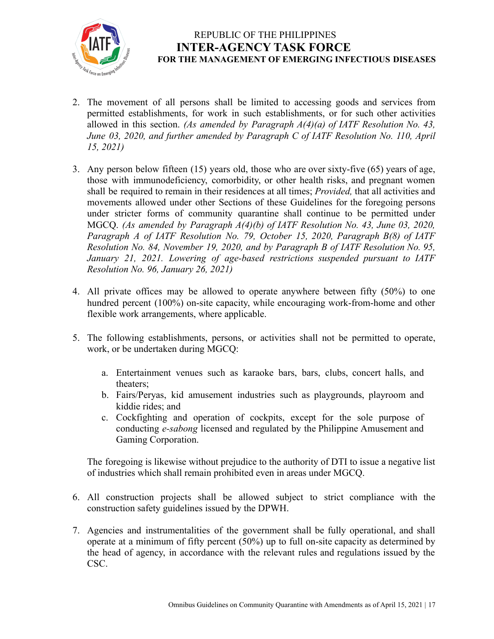

- 2. The movement of all persons shall be limited to accessing goods and services from permitted establishments, for work in such establishments, or for such other activities allowed in this section. *(As amended by Paragraph A(4)(a) of IATF Resolution No. 43, June 03, 2020, and further amended by Paragraph C of IATF Resolution No. 110, April 15, 2021)*
- 3. Any person below fifteen (15) years old, those who are over sixty-five (65) years of age, those with immunodeficiency, comorbidity, or other health risks, and pregnant women shall be required to remain in their residences at all times; *Provided,* that all activities and movements allowed under other Sections of these Guidelines for the foregoing persons under stricter forms of community quarantine shall continue to be permitted under MGCQ. *(As amended by Paragraph A(4)(b) of IATF Resolution No. 43, June 03, 2020, Paragraph A of IATF Resolution No. 79, October 15, 2020, Paragraph B(8) of IATF Resolution No. 84, November 19, 2020, and by Paragraph B of IATF Resolution No. 95, January 21, 2021. Lowering of age-based restrictions suspended pursuant to IATF Resolution No. 96, January 26, 2021)*
- 4. All private offices may be allowed to operate anywhere between fifty (50%) to one hundred percent (100%) on-site capacity, while encouraging work-from-home and other flexible work arrangements, where applicable.
- 5. The following establishments, persons, or activities shall not be permitted to operate, work, or be undertaken during MGCQ:
	- a. Entertainment venues such as karaoke bars, bars, clubs, concert halls, and theaters;
	- b. Fairs/Peryas, kid amusement industries such as playgrounds, playroom and kiddie rides; and
	- c. Cockfighting and operation of cockpits, except for the sole purpose of conducting *e-sabong* licensed and regulated by the Philippine Amusement and Gaming Corporation.

The foregoing is likewise without prejudice to the authority of DTI to issue a negative list of industries which shall remain prohibited even in areas under MGCQ.

- 6. All construction projects shall be allowed subject to strict compliance with the construction safety guidelines issued by the DPWH.
- 7. Agencies and instrumentalities of the government shall be fully operational, and shall operate at a minimum of fifty percent (50%) up to full on-site capacity as determined by the head of agency, in accordance with the relevant rules and regulations issued by the CSC.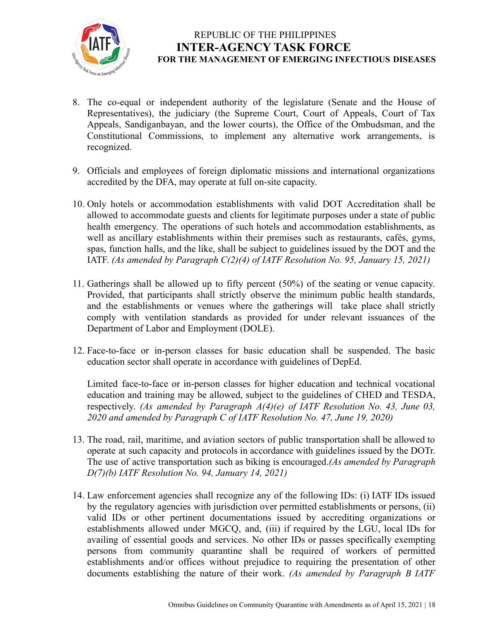

- 8. The co-equal or independent authority of the legislature (Senate and the House of Representatives), the judiciary (the Supreme Court, Court of Appeals, Court of Tax Appeals, Sandiganbayan, and the lower courts), the Office of the Ombudsman, and the Constitutional Commissions, to implement any alternative work arrangements, is recognized.
- 9. Officials and employees of foreign diplomatic missions and international organizations accredited by the DFA, may operate at full on-site capacity.
- 10. Only hotels or accommodation establishments with valid DOT Accreditation shall be allowed to accommodate guests and clients for legitimate purposes under a state of public health emergency. The operations of such hotels and accommodation establishments, as well as ancillary establishments within their premises such as restaurants, cafés, gyms, spas, function halls, and the like, shall be subject to guidelines issued by the DOT and the IATF. *(As amended by Paragraph C(2)(4) of IATF Resolution No. 95, January 15, 2021)*
- 11. Gatherings shall be allowed up to fifty percent (50%) of the seating or venue capacity. Provided, that participants shall strictly observe the minimum public health standards, and the establishments or venues where the gatherings will take place shall strictly comply with ventilation standards as provided for under relevant issuances of the Department of Labor and Employment (DOLE).
- 12. Face-to-face or in-person classes for basic education shall be suspended. The basic education sector shall operate in accordance with guidelines of DepEd.

Limited face-to-face or in-person classes for higher education and technical vocational education and training may be allowed, subject to the guidelines of CHED and TESDA, respectively. *(As amended by Paragraph A(4)(e) of IATF Resolution No. 43, June 03, 2020 and amended by Paragraph C of IATF Resolution No. 47, June 19, 2020)*

- 13. The road, rail, maritime, and aviation sectors of public transportation shall be allowed to operate at such capacity and protocols in accordance with guidelines issued by the DOTr. The use of active transportation such as biking is encouraged.*(As amended by Paragraph D(7)(b) IATF Resolution No. 94, January 14, 2021)*
- 14. Law enforcement agencies shall recognize any of the following IDs: (i) IATF IDs issued by the regulatory agencies with jurisdiction over permitted establishments or persons, (ii) valid IDs or other pertinent documentations issued by accrediting organizations or establishments allowed under MGCQ, and, (iii) if required by the LGU, local IDs for availing of essential goods and services. No other IDs or passes specifically exempting persons from community quarantine shall be required of workers of permitted establishments and/or offices without prejudice to requiring the presentation of other documents establishing the nature of their work. *(As amended by Paragraph B IATF*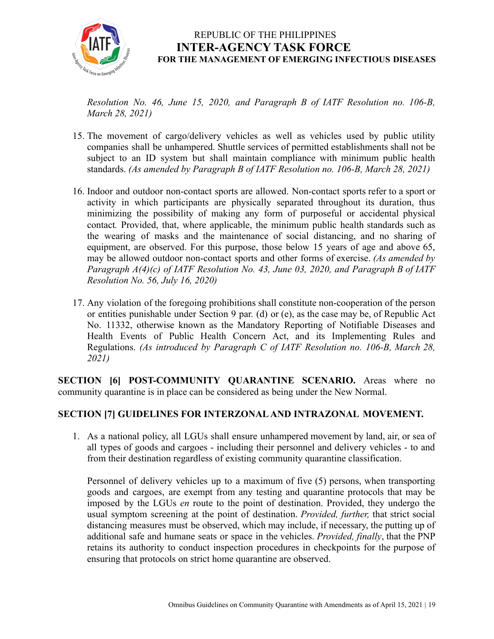

*Resolution No. 46, June 15, 2020, and Paragraph B of IATF Resolution no. 106-B, March 28, 2021)*

- 15. The movement of cargo/delivery vehicles as well as vehicles used by public utility companies shall be unhampered. Shuttle services of permitted establishments shall not be subject to an ID system but shall maintain compliance with minimum public health standards. *(As amended by Paragraph B of IATF Resolution no. 106-B, March 28, 2021)*
- 16. Indoor and outdoor non-contact sports are allowed. Non-contact sports refer to a sport or activity in which participants are physically separated throughout its duration, thus minimizing the possibility of making any form of purposeful or accidental physical contact*.* Provided, that, where applicable, the minimum public health standards such as the wearing of masks and the maintenance of social distancing, and no sharing of equipment, are observed. For this purpose, those below 15 years of age and above 65, may be allowed outdoor non-contact sports and other forms of exercise. *(As amended by Paragraph A(4)(c) of IATF Resolution No. 43, June 03, 2020, and Paragraph B of IATF Resolution No. 56, July 16, 2020)*
- 17. Any violation of the foregoing prohibitions shall constitute non-cooperation of the person or entities punishable under Section 9 par. (d) or (e), as the case may be, of Republic Act No. 11332, otherwise known as the Mandatory Reporting of Notifiable Diseases and Health Events of Public Health Concern Act, and its Implementing Rules and Regulations. *(As introduced by Paragraph C of IATF Resolution no. 106-B, March 28, 2021)*

**SECTION [6] POST-COMMUNITY QUARANTINE SCENARIO.** Areas where no community quarantine is in place can be considered as being under the New Normal.

#### **SECTION [7] GUIDELINES FOR INTERZONAL AND INTRAZONAL MOVEMENT.**

1. As a national policy, all LGUs shall ensure unhampered movement by land, air, or sea of all types of goods and cargoes - including their personnel and delivery vehicles - to and from their destination regardless of existing community quarantine classification.

Personnel of delivery vehicles up to a maximum of five (5) persons, when transporting goods and cargoes, are exempt from any testing and quarantine protocols that may be imposed by the LGUs *en* route to the point of destination. Provided, they undergo the usual symptom screening at the point of destination. *Provided, further,* that strict social distancing measures must be observed, which may include, if necessary, the putting up of additional safe and humane seats or space in the vehicles. *Provided, finally*, that the PNP retains its authority to conduct inspection procedures in checkpoints for the purpose of ensuring that protocols on strict home quarantine are observed.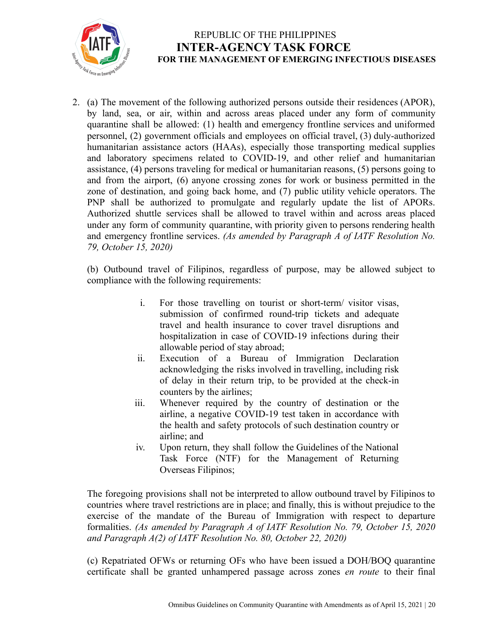

2. (a) The movement of the following authorized persons outside their residences (APOR), by land, sea, or air, within and across areas placed under any form of community quarantine shall be allowed: (1) health and emergency frontline services and uniformed personnel, (2) government officials and employees on official travel, (3) duly-authorized humanitarian assistance actors (HAAs), especially those transporting medical supplies and laboratory specimens related to COVID-19, and other relief and humanitarian assistance, (4) persons traveling for medical or humanitarian reasons, (5) persons going to and from the airport, (6) anyone crossing zones for work or business permitted in the zone of destination, and going back home, and (7) public utility vehicle operators. The PNP shall be authorized to promulgate and regularly update the list of APORs. Authorized shuttle services shall be allowed to travel within and across areas placed under any form of community quarantine, with priority given to persons rendering health and emergency frontline services. *(As amended by Paragraph A of IATF Resolution No. 79, October 15, 2020)*

(b) Outbound travel of Filipinos, regardless of purpose, may be allowed subject to compliance with the following requirements:

- i. For those travelling on tourist or short-term/ visitor visas, submission of confirmed round-trip tickets and adequate travel and health insurance to cover travel disruptions and hospitalization in case of COVID-19 infections during their allowable period of stay abroad;
- ii. Execution of a Bureau of Immigration Declaration acknowledging the risks involved in travelling, including risk of delay in their return trip, to be provided at the check-in counters by the airlines;
- iii. Whenever required by the country of destination or the airline, a negative COVID-19 test taken in accordance with the health and safety protocols of such destination country or airline; and
- iv. Upon return, they shall follow the Guidelines of the National Task Force (NTF) for the Management of Returning Overseas Filipinos;

The foregoing provisions shall not be interpreted to allow outbound travel by Filipinos to countries where travel restrictions are in place; and finally, this is without prejudice to the exercise of the mandate of the Bureau of Immigration with respect to departure formalities. *(As amended by Paragraph A of IATF Resolution No. 79, October 15, 2020 and Paragraph A(2) of IATF Resolution No. 80, October 22, 2020)*

(c) Repatriated OFWs or returning OFs who have been issued a DOH/BOQ quarantine certificate shall be granted unhampered passage across zones *en route* to their final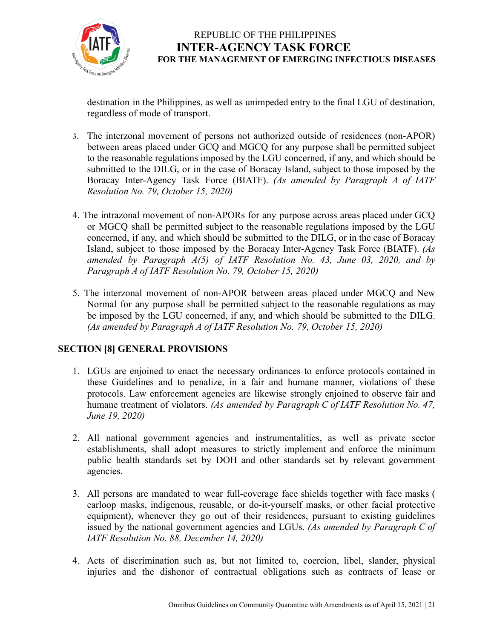

destination in the Philippines, as well as unimpeded entry to the final LGU of destination, regardless of mode of transport.

- 3. The interzonal movement of persons not authorized outside of residences (non-APOR) between areas placed under GCQ and MGCQ for any purpose shall be permitted subject to the reasonable regulations imposed by the LGU concerned, if any, and which should be submitted to the DILG, or in the case of Boracay Island, subject to those imposed by the Boracay Inter-Agency Task Force (BIATF). *(As amended by Paragraph A of IATF Resolution No. 79, October 15, 2020)*
- 4. The intrazonal movement of non-APORs for any purpose across areas placed under GCQ or MGCQ shall be permitted subject to the reasonable regulations imposed by the LGU concerned, if any, and which should be submitted to the DILG, or in the case of Boracay Island, subject to those imposed by the Boracay Inter-Agency Task Force (BIATF). *(As amended by Paragraph A(5) of IATF Resolution No. 43, June 03, 2020, and by Paragraph A of IATF Resolution No. 79, October 15, 2020)*
- 5. The interzonal movement of non-APOR between areas placed under MGCQ and New Normal for any purpose shall be permitted subject to the reasonable regulations as may be imposed by the LGU concerned, if any, and which should be submitted to the DILG. *(As amended by Paragraph A of IATF Resolution No. 79, October 15, 2020)*

# **SECTION [8] GENERAL PROVISIONS**

- 1. LGUs are enjoined to enact the necessary ordinances to enforce protocols contained in these Guidelines and to penalize, in a fair and humane manner, violations of these protocols. Law enforcement agencies are likewise strongly enjoined to observe fair and humane treatment of violators. *(As amended by Paragraph C of IATF Resolution No. 47, June 19, 2020)*
- 2. All national government agencies and instrumentalities, as well as private sector establishments, shall adopt measures to strictly implement and enforce the minimum public health standards set by DOH and other standards set by relevant government agencies.
- 3. All persons are mandated to wear full-coverage face shields together with face masks ( earloop masks, indigenous, reusable, or do-it-yourself masks, or other facial protective equipment), whenever they go out of their residences, pursuant to existing guidelines issued by the national government agencies and LGUs. *(As amended by Paragraph C of IATF Resolution No. 88, December 14, 2020)*
- 4. Acts of discrimination such as, but not limited to, coercion, libel, slander, physical injuries and the dishonor of contractual obligations such as contracts of lease or